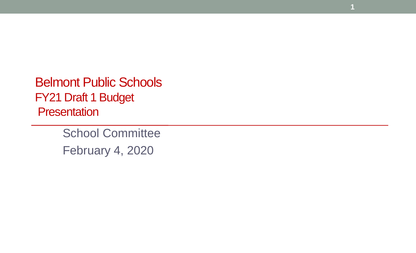Belmont Public Schools FY21 Draft 1 Budget **Presentation** 

> School Committee February 4, 2020

**1**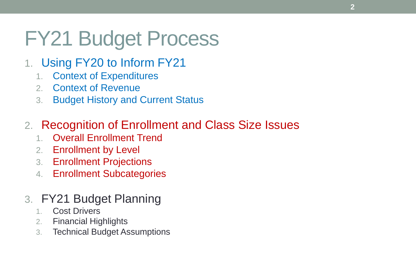# FY21 Budget Process

- 1. Using FY20 to Inform FY21
	- 1. Context of Expenditures
	- 2. Context of Revenue
	- 3. Budget History and Current Status

# 2. Recognition of Enrollment and Class Size Issues

- 1. Overall Enrollment Trend
- 2. Enrollment by Level
- 3. Enrollment Projections
- 4. Enrollment Subcategories

# 3. FY21 Budget Planning

- 1. Cost Drivers
- 2. Financial Highlights
- 3. Technical Budget Assumptions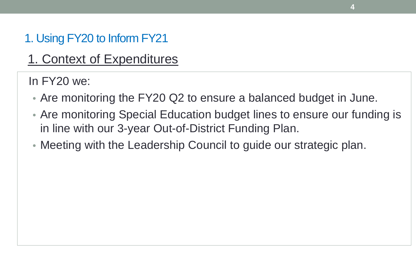1. Context of Expenditures

In FY20 we:

- Are monitoring the FY20 Q2 to ensure a balanced budget in June.
- Are monitoring Special Education budget lines to ensure our funding is in line with our 3-year Out-of-District Funding Plan.

**4**

• Meeting with the Leadership Council to guide our strategic plan.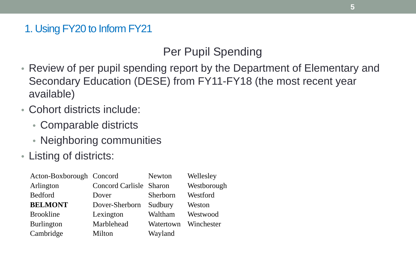# Per Pupil Spending

- Review of per pupil spending report by the Department of Elementary and Secondary Education (DESE) from FY11-FY18 (the most recent year available)
- Cohort districts include:
	- Comparable districts
	- Neighboring communities
- Listing of districts:

| Acton-Boxborough Concord |                                | <b>Newton</b> | Wellesley   |
|--------------------------|--------------------------------|---------------|-------------|
| Arlington                | <b>Concord Carlisle Sharon</b> |               | Westborough |
| <b>Bedford</b>           | Dover                          | Sherborn      | Westford    |
| <b>BELMONT</b>           | Dover-Sherborn                 | Sudbury       | Weston      |
| <b>Brookline</b>         | Lexington                      | Waltham       | Westwood    |
| <b>Burlington</b>        | Marblehead                     | Watertown     | Winchester  |
| Cambridge                | Milton                         | Wayland       |             |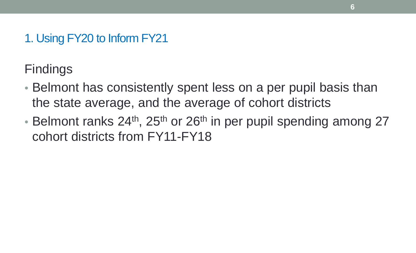Findings

- Belmont has consistently spent less on a per pupil basis than the state average, and the average of cohort districts
- Belmont ranks  $24<sup>th</sup>$ ,  $25<sup>th</sup>$  or  $26<sup>th</sup>$  in per pupil spending among 27 cohort districts from FY11-FY18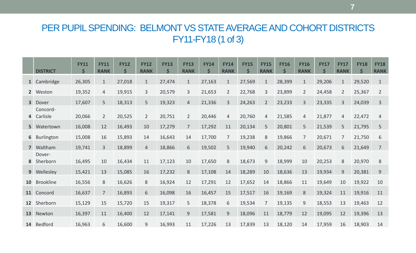### PER PUPIL SPENDING: BELMONT VS STATE AVERAGE AND COHORT DISTRICTS FY11-FY18 (1 of 3)

|                | <b>DISTRICT</b>      | <b>FY11</b><br>\$ | <b>FY11</b><br><b>RANK</b> | <b>FY12</b><br>Ś | <b>FY12</b><br><b>RANK</b> | <b>FY13</b><br>\$ | <b>FY13</b><br><b>RANK</b> | <b>FY14</b><br>$\mathsf{\hat{S}}$ | <b>FY14</b><br><b>RANK</b> | <b>FY15</b><br>$\mathsf{\mathsf{S}}$ | <b>FY15</b><br><b>RANK</b> | <b>FY16</b><br>\$ | <b>FY16</b><br><b>RANK</b> | <b>FY17</b><br>\$ | <b>FY17</b><br><b>RANK</b> | <b>FY18</b><br>\$ | <b>FY18</b><br><b>RANK</b> |
|----------------|----------------------|-------------------|----------------------------|------------------|----------------------------|-------------------|----------------------------|-----------------------------------|----------------------------|--------------------------------------|----------------------------|-------------------|----------------------------|-------------------|----------------------------|-------------------|----------------------------|
|                | 1 Cambridge          | 26,305            | $\mathbf{1}$               | 27,018           | $\mathbf{1}$               | 27,474            | $\mathbf{1}$               | 27,163                            | $\mathbf{1}$               | 27,569                               | $\mathbf{1}$               | 28,399            | $\mathbf{1}$               | 29,206            | $\mathbf{1}$               | 29,520            | $\mathbf{1}$               |
|                | 2 Weston             | 19,352            | 4                          | 19,915           | $\overline{3}$             | 20,579            | 3                          | 21,653                            | $\overline{2}$             | 22,768                               | 3                          | 23,899            | $\overline{2}$             | 24,458            | $\overline{2}$             | 25,367            | $\overline{2}$             |
| 3 <sup>1</sup> | Dover                | 17,607            | 5                          | 18,313           | 5                          | 19,323            | $\overline{4}$             | 21,336                            | 3                          | 24,263                               | $\overline{2}$             | 23,233            | $\overline{3}$             | 23,335            | 3                          | 24,039            | 3                          |
| $\overline{4}$ | Concord-<br>Carlisle | 20,066            | $\overline{2}$             | 20,525           | $\overline{2}$             | 20,751            | $\overline{2}$             | 20,446                            | 4                          | 20,760                               | 4                          | 21,585            | $\overline{4}$             | 21,877            | 4                          | 22,472            | 4                          |
|                | 5 Watertown          | 16,008            | 12                         | 16,493           | 10                         | 17,279            | $\overline{7}$             | 17,292                            | 11                         | 20,134                               | 5                          | 20,801            | 5                          | 21,539            | 5                          | 21,795            | 5                          |
|                | 6 Burlington         | 15,008            | 16                         | 15,893           | 14                         | 16,643            | 14                         | 17,700                            | $\overline{7}$             | 19,238                               | 8                          | 19,866            | $\overline{7}$             | 20,671            | 7                          | 21,750            | 6                          |
| $\overline{7}$ | Waltham              | 19,741            | $\overline{3}$             | 18,899           | 4                          | 18,866            | 6                          | 19,502                            | 5                          | 19,940                               | 6                          | 20,242            | 6                          | 20,673            | 6                          | 21,649            | 7                          |
| 8              | Dover-<br>Sherborn   | 16,495            | 10                         | 16,434           | 11                         | 17,123            | 10                         | 17,650                            | 8                          | 18,673                               | 9                          | 18,999            | 10                         | 20,253            | 8                          | 20,970            | 8                          |
| 9 <sup>1</sup> | Wellesley            | 15,421            | 13                         | 15,085           | 16                         | 17,232            | 8                          | 17,108                            | 14                         | 18,289                               | 10                         | 18,636            | 13                         | 19,934            | 9                          | 20,381            | 9                          |
| 10             | <b>Brookline</b>     | 16,556            | 8                          | 16,626           | 8                          | 16,924            | 12                         | 17,291                            | 12                         | 17,652                               | 14                         | 18,866            | 11                         | 19,649            | 10                         | 19,922            | 10                         |
| 11             | Concord              | 16,637            | $\overline{7}$             | 16,893           | 6                          | 16,098            | 16                         | 16,457                            | 15                         | 17,517                               | 16                         | 19,169            | 8                          | 19,324            | 11                         | 19,916            | 11                         |
| 12             | Sherborn             | 15,129            | 15                         | 15,720           | 15                         | 19,317            | 5                          | 18,378                            | 6                          | 19,534                               | $\overline{7}$             | 19,135            | 9                          | 18,553            | 13                         | 19,463            | 12                         |
| 13             | Newton               | 16,397            | 11                         | 16,400           | 12                         | 17,141            | 9                          | 17,581                            | $\overline{9}$             | 18,096                               | 11                         | 18,779            | 12                         | 19,095            | 12                         | 19,396            | 13                         |
|                | 14 Bedford           | 16,963            | 6                          | 16,600           | 9                          | 16,993            | 11                         | 17,226                            | 13                         | 17,839                               | 13                         | 18,120            | 14                         | 17,959            | 16                         | 18,903            | 14                         |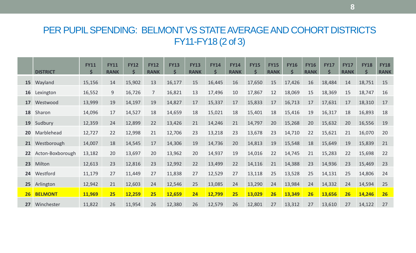### PER PUPIL SPENDING: BELMONT VS STATE AVERAGE AND COHORT DISTRICTS FY11-FY18 (2 of 3)

|           | <b>DISTRICT</b>  | <b>FY11</b><br>$\mathsf{\dot{S}}$ | <b>FY11</b><br><b>RANK</b> | <b>FY12</b> | <b>FY12</b><br><b>RANK</b> | <b>FY13</b><br>$\vec{S}$ | <b>FY13</b><br><b>RANK</b> | <b>FY14</b><br>$\zeta$ | <b>FY14</b><br><b>RANK</b> | <b>FY15</b><br>$\mathsf{\dot{S}}$ | <b>FY15</b><br><b>RANK</b> | <b>FY16</b><br>Ś | <b>FY16</b><br><b>RANK</b> | <b>FY17</b><br>\$ | <b>FY17</b><br><b>RANK</b> | <b>FY18</b><br>$\mathsf{\mathsf{S}}$ | <b>FY18</b><br><b>RANK</b> |
|-----------|------------------|-----------------------------------|----------------------------|-------------|----------------------------|--------------------------|----------------------------|------------------------|----------------------------|-----------------------------------|----------------------------|------------------|----------------------------|-------------------|----------------------------|--------------------------------------|----------------------------|
| <b>15</b> | Wayland          | 15,156                            | 14                         | 15,902      | 13                         | 16,177                   | 15                         | 16,445                 | 16                         | 17,650                            | 15                         | 17,426           | 16                         | 18,484            | 14                         | 18,751                               | 15                         |
| 16        | Lexington        | 16,552                            | 9                          | 16,726      |                            | 16,821                   | 13                         | 17,496                 | 10                         | 17,867                            | 12                         | 18,069           | 15                         | 18,369            | 15                         | 18,747                               | 16                         |
| 17        | Westwood         | 13,999                            | 19                         | 14,197      | 19                         | 14,827                   | 17                         | 15,337                 | 17                         | 15,833                            | 17                         | 16,713           | 17                         | 17,631            | 17                         | 18,310                               | 17                         |
| 18        | Sharon           | 14,096                            | 17                         | 14,527      | 18                         | 14,659                   | 18                         | 15,021                 | 18                         | 15,401                            | 18                         | 15,416           | 19                         | 16,317            | 18                         | 16,893                               | 18                         |
| <b>19</b> | Sudbury          | 12,359                            | 24                         | 12,899      | 22                         | 13,426                   | 21                         | 14,246                 | 21                         | 14,797                            | 20                         | 15,268           | 20                         | 15,632            | 20                         | 16,556                               | 19                         |
| <b>20</b> | Marblehead       | 12,727                            | 22                         | 12,998      | 21                         | 12,706                   | 23                         | 13,218                 | 23                         | 13,678                            | 23                         | 14,710           | 22                         | 15,621            | 21                         | 16,070                               | 20                         |
| 21        | Westborough      | 14,007                            | 18                         | 14,545      | 17                         | 14,306                   | 19                         | 14,736                 | 20                         | 14,813                            | 19                         | 15,548           | 18                         | 15,649            | 19                         | 15,839                               | 21                         |
| 22        | Acton-Boxborough | 13,182                            | 20                         | 13,697      | 20                         | 13,962                   | 20                         | 14,937                 | 19                         | 14,016                            | 22                         | 14,745           | 21                         | 15,283            | 22                         | 15,698                               | 22                         |
| 23        | Milton           | 12,613                            | 23                         | 12,816      | 23                         | 12,992                   | 22                         | 13,499                 | 22                         | 14,116                            | 21                         | 14,388           | 23                         | 14,936            | 23                         | 15,469                               | 23                         |
| 24        | Westford         | 11,179                            | 27                         | 11,449      | 27                         | 11,838                   | 27                         | 12,529                 | 27                         | 13,118                            | 25                         | 13,528           | 25                         | 14,131            | 25                         | 14,806                               | 24                         |
| 25        | Arlington        | 12,942                            | 21                         | 12,603      | 24                         | 12,546                   | 25                         | 13,085                 | 24                         | 13,290                            | 24                         | 13,984           | 24                         | 14,332            | 24                         | 14,594                               | 25                         |
| 26        | <b>BELMONT</b>   | 11,969                            | 25                         | 12,259      | 25                         | 12,659                   | 24                         | 12,799                 | 25                         | 13,029                            | <b>26</b>                  | 13,349           | 26                         | 13,656            | 26                         | 14,246                               | <b>26</b>                  |
| 27        | Winchester       | 11,822                            | 26                         | 11,954      | 26                         | 12,380                   | 26                         | 12,579                 | 26                         | 12,801                            | 27                         | 13,312           | 27                         | 13,610            | 27                         | 14,122                               | 27                         |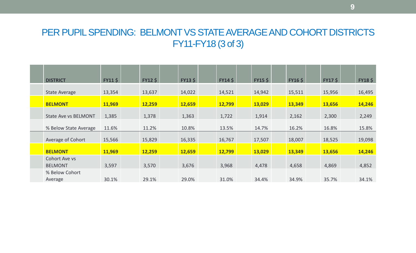### PER PUPIL SPENDING: BELMONT VS STATE AVERAGE AND COHORT DISTRICTS FY11-FY18 (3 of 3)

|                       |                                                |                         |        |                         |        |                         |        |                         |        |                         |        |                         |        |                    | <b>FY18\$</b> |
|-----------------------|------------------------------------------------|-------------------------|--------|-------------------------|--------|-------------------------|--------|-------------------------|--------|-------------------------|--------|-------------------------|--------|--------------------|---------------|
|                       |                                                |                         |        |                         |        |                         |        |                         |        |                         |        |                         |        |                    |               |
| State Average         | 13,354                                         |                         | 13,637 |                         | 14,022 |                         | 14,521 |                         | 14,942 |                         | 15,511 |                         | 15,956 |                    | 16,495        |
| <b>BELMONT</b>        | 11,969                                         |                         | 12,259 |                         | 12,659 |                         | 12,799 |                         | 13,029 |                         | 13,349 |                         | 13,656 |                    | 14,246        |
|                       |                                                |                         |        |                         |        |                         |        |                         |        |                         |        |                         |        |                    |               |
|                       |                                                |                         |        |                         |        |                         |        |                         |        |                         |        |                         |        |                    | 2,249         |
| % Below State Average | 11.6%                                          |                         | 11.2%  |                         | 10.8%  |                         | 13.5%  |                         | 14.7%  |                         | 16.2%  |                         | 16.8%  |                    | 15.8%         |
| Average of Cohort     | 15,566                                         |                         | 15,829 |                         | 16,335 |                         | 16,767 |                         | 17,507 |                         | 18,007 |                         | 18,525 |                    | 19,098        |
| <b>BELMONT</b>        | 11,969                                         |                         | 12,259 |                         | 12,659 |                         | 12,799 |                         | 13,029 |                         | 13,349 |                         | 13,656 |                    | 14,246        |
| Cohort Ave vs         |                                                |                         |        |                         |        |                         |        |                         |        |                         |        |                         |        |                    |               |
| <b>BELMONT</b>        | 3,597                                          |                         | 3,570  |                         | 3,676  |                         | 3,968  |                         | 4,478  |                         | 4,658  |                         | 4,869  |                    | 4,852         |
| % Below Cohort        |                                                |                         |        |                         |        |                         |        |                         |        |                         |        |                         |        |                    |               |
| Average               | 30.1%                                          |                         | 29.1%  |                         | 29.0%  |                         | 31.0%  |                         | 34.4%  |                         | 34.9%  |                         | 35.7%  |                    | 34.1%         |
|                       | <b>DISTRICT</b><br><b>State Ave vs BELMONT</b> | <b>FY11 \$</b><br>1,385 |        | <b>FY12 \$</b><br>1,378 |        | <b>FY13 \$</b><br>1,363 |        | <b>FY14 \$</b><br>1,722 |        | <b>FY15 \$</b><br>1,914 |        | <b>FY16 \$</b><br>2,162 |        | $FY17$ \$<br>2,300 |               |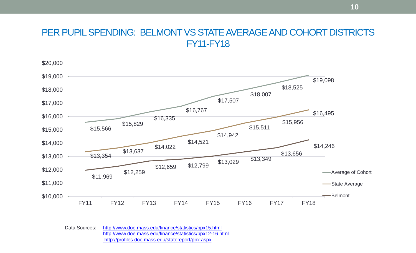### PER PUPIL SPENDING: BELMONT VS STATE AVERAGE AND COHORT DISTRICTS FY11-FY18



| Data Sources: | http://www.doe.mass.edu/finance/statistics/ppx15.html    |
|---------------|----------------------------------------------------------|
|               | http://www.doe.mass.edu/finance/statistics/ppx12-16.html |
|               | http://profiles.doe.mass.edu/statereport/ppx.aspx        |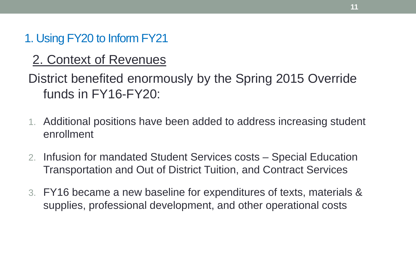# 2. Context of Revenues

District benefited enormously by the Spring 2015 Override funds in FY16-FY20:

- 1. Additional positions have been added to address increasing student enrollment
- 2. Infusion for mandated Student Services costs Special Education Transportation and Out of District Tuition, and Contract Services
- 3. FY16 became a new baseline for expenditures of texts, materials & supplies, professional development, and other operational costs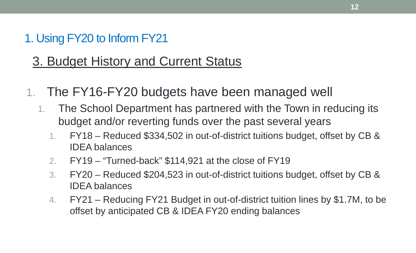# 3. Budget History and Current Status

- 1. The FY16-FY20 budgets have been managed well
	- 1. The School Department has partnered with the Town in reducing its budget and/or reverting funds over the past several years
		- 1. FY18 Reduced \$334,502 in out-of-district tuitions budget, offset by CB & IDEA balances
		- 2. FY19 "Turned-back" \$114,921 at the close of FY19
		- 3. FY20 Reduced \$204,523 in out-of-district tuitions budget, offset by CB & IDEA balances
		- 4. FY21 Reducing FY21 Budget in out-of-district tuition lines by \$1.7M, to be offset by anticipated CB & IDEA FY20 ending balances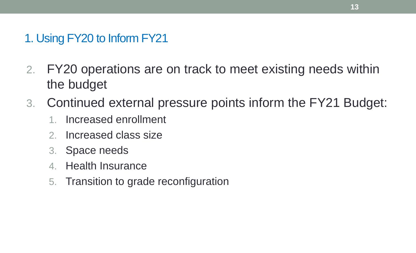- 2. FY20 operations are on track to meet existing needs within the budget
- 3. Continued external pressure points inform the FY21 Budget:
	- 1. Increased enrollment
	- 2. Increased class size
	- 3. Space needs
	- 4. Health Insurance
	- 5. Transition to grade reconfiguration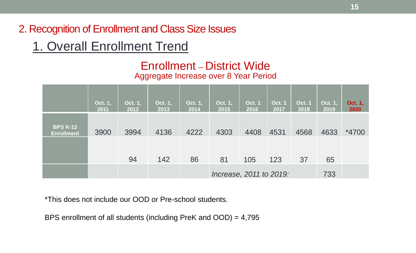# 1. Overall Enrollment Trend

### Enrollment – District Wide Aggregate Increase over 8 Year Period

|                                      | Oct. 1,<br>2011 | Oct. 1,<br>2012 | Oct. 1,<br>2013 | Oct. 1,<br>2014 | Oct. 1,<br>2015         | <b>Oct. 1</b><br>2016 | <b>Oct. 1</b><br>2017 | <b>Oct. 1</b><br>2018 | Oct. 1,<br>2019 | Oct. 1,<br>2020 |
|--------------------------------------|-----------------|-----------------|-----------------|-----------------|-------------------------|-----------------------|-----------------------|-----------------------|-----------------|-----------------|
| <b>BPS K-12</b><br><b>Enrollment</b> | 3900            | 3994            | 4136            | 4222            | 4303                    | 4408                  | 4531                  | 4568                  | 4633            | *4700           |
|                                      |                 | 94              | 142             | 86              | 81                      | 105                   | 123                   | 37                    | 65              |                 |
|                                      |                 |                 |                 |                 | Increase, 2011 to 2019: |                       |                       |                       | 733             |                 |

\*This does not include our OOD or Pre-school students.

BPS enrollment of all students (including PreK and OOD) = 4,795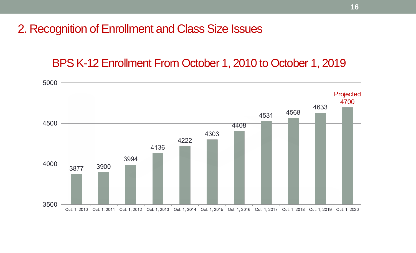BPS K-12 Enrollment From October 1, 2010 to October 1, 2019

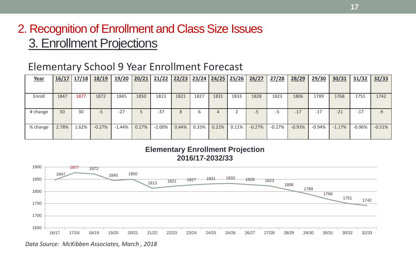# 2. Recognition of Enrollment and Class Size Issues 3. Enrollment Projections

### Elementary School 9 Year Enrollment Forecast

| Year     | 16/17 | 17/18 | 18/19    | 19/20    | 20/21 | 21/22    | 22/23 | 123/24 | 24/25 | 25/26 | 26/27    | 27/28    | 28/29    | 29/30    | 30/31    | 31/32    | 32/33    |
|----------|-------|-------|----------|----------|-------|----------|-------|--------|-------|-------|----------|----------|----------|----------|----------|----------|----------|
|          |       |       |          |          |       |          |       |        |       |       |          |          |          |          |          |          |          |
| Enroll   | 1847  | 1877  | 1872     | 1845     | 1850  | 1813     | 1821  | 1827   | 1831  | 1833  | 1828     | 1823     | 1806     | 1789     | 1768     | 1751     | 1742     |
| # change | 50    | 30    | -5       | $-27$    |       | $-37$    |       | b      |       |       | -5       |          | $-17$    | $-17$    | $-21$    | $-17$    | -9       |
| % change | 2.78% | 1.62% | $-0.27%$ | $-1.44%$ | 0.27% | $-2.00%$ | 0.44% | 0.33%  | 0.22% | 0.11% | $-0.27%$ | $-0.27%$ | $-0.93%$ | $-0.94%$ | $-1.17%$ | $-0.96%$ | $-0.51%$ |





*Data Source: McKibben Associates, March , 2018*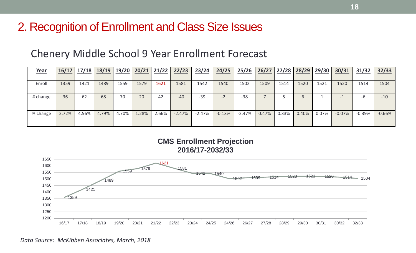### Chenery Middle School 9 Year Enrollment Forecast

| <u>Year</u> | 16/17 | 17/18 | 18/19 |       | 19/20 20/21 | 21/22 | 22/23    | 23/24    | 24/25                    | 25/26    | 26/27 | 27/28 | 28/29 | <u>29/30</u> | 30/31    | 31/32    | 32/33    |
|-------------|-------|-------|-------|-------|-------------|-------|----------|----------|--------------------------|----------|-------|-------|-------|--------------|----------|----------|----------|
|             |       |       |       |       |             |       |          |          |                          |          |       |       |       |              |          |          |          |
| Enroll      | 1359  | 1421  | 1489  | 1559  | 1579        | 1621  | 1581     | 1542     | 1540                     | 1502     | 1509  | 1514  | 1520  | 1521         | 1520     | 1514     | 1504     |
|             |       |       |       |       |             |       |          |          |                          |          |       |       |       |              |          |          |          |
| # change    | 36    | 62    | 68    | 70    | 20          | 42    | $-40$    | $-39$    | $\overline{\phantom{0}}$ | $-38$    |       |       |       |              |          | -6       | $-10$    |
|             |       |       |       |       |             |       |          |          |                          |          |       |       |       |              |          |          |          |
| % change    | 2.72% | 4.56% | 4.79% | 4.70% | 1.28%       | 2.66% | $-2.47%$ | $-2.47%$ | $-0.13%$                 | $-2.47%$ | 0.47% | 0.33% | 0.40% | 0.07%        | $-0.07%$ | $-0.39%$ | $-0.66%$ |
|             |       |       |       |       |             |       |          |          |                          |          |       |       |       |              |          |          |          |
|             |       |       |       |       |             |       |          |          |                          |          |       |       |       |              |          |          |          |

**CMS Enrollment Projection 2016/17-2032/33**

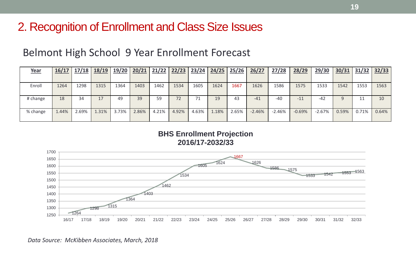### Belmont High School 9 Year Enrollment Forecast

| Year     | 16/17 | 17/18 | 18/19 | <u>19/20</u> | 20/21 |       | $21/22$ 22/23 |       | $23/24$ $24/25$ | 25/26 | 26/27    | 27/28    | 28/29    | 29/30    |       | $30/31$ 31/32 32/33 |       |
|----------|-------|-------|-------|--------------|-------|-------|---------------|-------|-----------------|-------|----------|----------|----------|----------|-------|---------------------|-------|
|          |       |       |       |              |       |       |               |       |                 |       |          |          |          |          |       |                     |       |
| Enroll   | 1264  | 1298  | 1315  | 1364         | 1403  | 1462  | 1534          | 1605  | 1624            | 1667  | 1626     | 1586     | 1575     | 1533     | 1542  | 1553                | 1563  |
|          |       |       |       |              |       |       |               |       |                 |       |          |          |          |          |       |                     |       |
| # change | 18    | 34    | 17    | 49           | 39    | 59    | 72            | 71    | 19              | 43    | $-41$    | $-40$    | $-11$    | $-42$    |       |                     | 10    |
|          |       |       |       |              |       |       |               |       |                 |       |          |          |          |          |       |                     |       |
| % change | 1.44% | 2.69% | 1.31% | 3.73%        | 2.86% | 4.21% | 4.92%         | 4.63% | 1.18%           | 2.65% | $-2.46%$ | $-2.46%$ | $-0.69%$ | $-2.67%$ | 0.59% | 0.71%               | 0.64% |
|          |       |       |       |              |       |       |               |       |                 |       |          |          |          |          |       |                     |       |

**BHS Enrollment Projection 2016/17-2032/33**



*Data Source: McKibben Associates, March, 2018*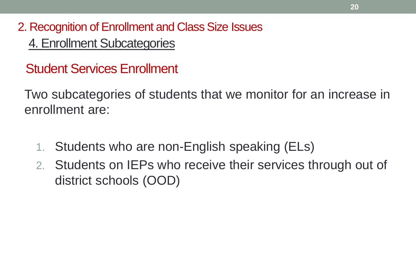2. Recognition of Enrollment and Class Size Issues 4. Enrollment Subcategories

Student Services Enrollment

Two subcategories of students that we monitor for an increase in enrollment are:

- 1. Students who are non-English speaking (ELs)
- 2. Students on IEPs who receive their services through out of district schools (OOD)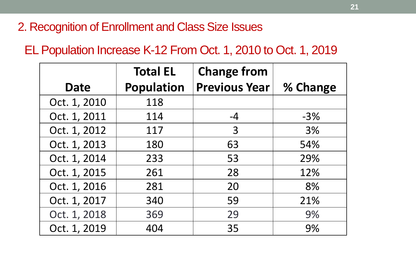EL Population Increase K-12 From Oct. 1, 2010 to Oct. 1, 2019

|              | <b>Total EL</b>   | <b>Change from</b>   |          |
|--------------|-------------------|----------------------|----------|
| <b>Date</b>  | <b>Population</b> | <b>Previous Year</b> | % Change |
| Oct. 1, 2010 | 118               |                      |          |
| Oct. 1, 2011 | 114               | $-4$                 | $-3%$    |
| Oct. 1, 2012 | 117               | 3                    | 3%       |
| Oct. 1, 2013 | 180               | 63                   | 54%      |
| Oct. 1, 2014 | 233               | 53                   | 29%      |
| Oct. 1, 2015 | 261               | 28                   | 12%      |
| Oct. 1, 2016 | 281               | 20                   | 8%       |
| Oct. 1, 2017 | 340               | 59                   | 21%      |
| Oct. 1, 2018 | 369               | 29                   | 9%       |
| Oct. 1, 2019 | 404               | 35                   | 9%       |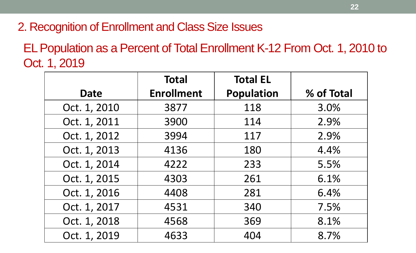EL Population as a Percent of Total Enrollment K-12 From Oct. 1, 2010 to Oct. 1, 2019

|              | <b>Total</b>      | <b>Total EL</b>   |            |
|--------------|-------------------|-------------------|------------|
| <b>Date</b>  | <b>Enrollment</b> | <b>Population</b> | % of Total |
| Oct. 1, 2010 | 3877              | 118               | 3.0%       |
| Oct. 1, 2011 | 3900              | 114               | 2.9%       |
| Oct. 1, 2012 | 3994              | 117               | 2.9%       |
| Oct. 1, 2013 | 4136              | 180               | 4.4%       |
| Oct. 1, 2014 | 4222              | 233               | 5.5%       |
| Oct. 1, 2015 | 4303              | 261               | 6.1%       |
| Oct. 1, 2016 | 4408              | 281               | 6.4%       |
| Oct. 1, 2017 | 4531              | 340               | 7.5%       |
| Oct. 1, 2018 | 4568              | 369               | 8.1%       |
| Oct. 1, 2019 | 4633              | 404               | 8.7%       |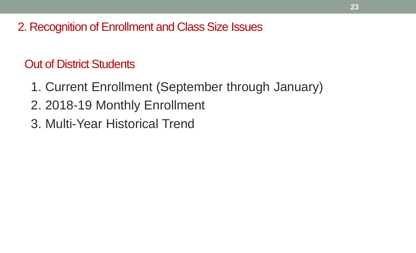Out of District Students

- 1. Current Enrollment (September through January)
- 2. 2018-19 Monthly Enrollment
- 3. Multi-Year Historical Trend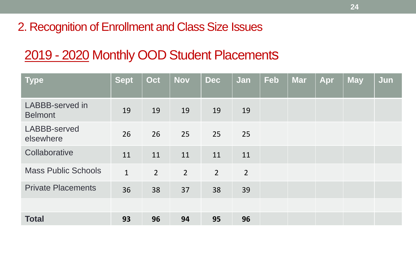# 2019 - 2020 Monthly OOD Student Placements

| <b>Type</b>                              | Sept         | Oct            | <b>Nov</b>     | <b>Dec</b>     | Jan            | <b>Feb</b> | <b>Mar</b> | Apr | <b>May</b> | Jun |
|------------------------------------------|--------------|----------------|----------------|----------------|----------------|------------|------------|-----|------------|-----|
| <b>LABBB-served in</b><br><b>Belmont</b> | 19           | 19             | 19             | 19             | 19             |            |            |     |            |     |
| LABBB-served<br>elsewhere                | 26           | 26             | 25             | 25             | 25             |            |            |     |            |     |
| Collaborative                            | 11           | 11             | 11             | 11             | 11             |            |            |     |            |     |
| <b>Mass Public Schools</b>               | $\mathbf{1}$ | $\overline{2}$ | $\overline{2}$ | $\overline{2}$ | $\overline{2}$ |            |            |     |            |     |
| <b>Private Placements</b>                | 36           | 38             | 37             | 38             | 39             |            |            |     |            |     |
|                                          |              |                |                |                |                |            |            |     |            |     |
| <b>Total</b>                             | 93           | 96             | 94             | 95             | 96             |            |            |     |            |     |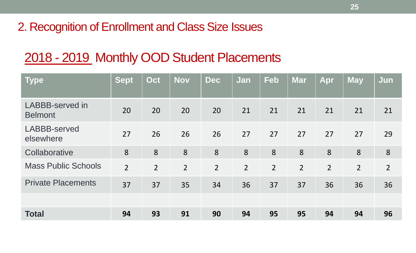# 2018 - 2019 Monthly OOD Student Placements

| <b>Type</b>                              | Sept           | Oct            | <b>Nov</b>     | <b>Dec</b>     | Jan            | <b>Feb</b>     | <b>Mar</b>     | Apr            | <b>May</b>     | Jun            |
|------------------------------------------|----------------|----------------|----------------|----------------|----------------|----------------|----------------|----------------|----------------|----------------|
| <b>LABBB-served in</b><br><b>Belmont</b> | 20             | 20             | 20             | 20             | 21             | 21             | 21             | 21             | 21             | 21             |
| <b>LABBB-served</b><br>elsewhere         | 27             | 26             | 26             | 26             | 27             | 27             | 27             | 27             | 27             | 29             |
| Collaborative                            | 8              | 8              | 8              | 8              | 8              | 8              | 8              | 8              | 8              | 8              |
| <b>Mass Public Schools</b>               | $\overline{2}$ | $\overline{2}$ | $\overline{2}$ | $\overline{2}$ | $\overline{2}$ | $\overline{2}$ | $\overline{2}$ | $\overline{2}$ | $\overline{2}$ | $\overline{2}$ |
| <b>Private Placements</b>                | 37             | 37             | 35             | 34             | 36             | 37             | 37             | 36             | 36             | 36             |
|                                          |                |                |                |                |                |                |                |                |                |                |
| <b>Total</b>                             | 94             | 93             | 91             | 90             | 94             | 95             | 95             | 94             | 94             | 96             |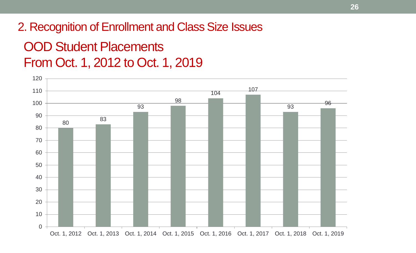# OOD Student Placements 2. Recognition of Enrollment and Class Size Issues

From Oct. 1, 2012 to Oct. 1, 2019

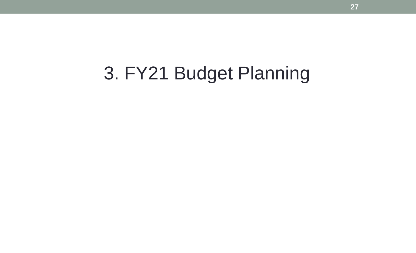# 3. FY21 Budget Planning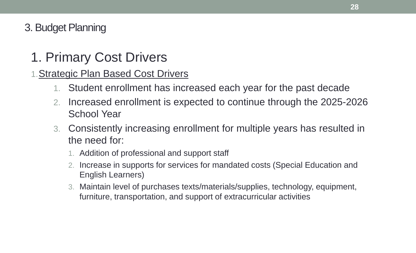- 1. Primary Cost Drivers
- 1.Strategic Plan Based Cost Drivers
	- 1. Student enrollment has increased each year for the past decade
	- 2. Increased enrollment is expected to continue through the 2025-2026 School Year
	- 3. Consistently increasing enrollment for multiple years has resulted in the need for:
		- 1. Addition of professional and support staff
		- 2. Increase in supports for services for mandated costs (Special Education and English Learners)
		- 3. Maintain level of purchases texts/materials/supplies, technology, equipment, furniture, transportation, and support of extracurricular activities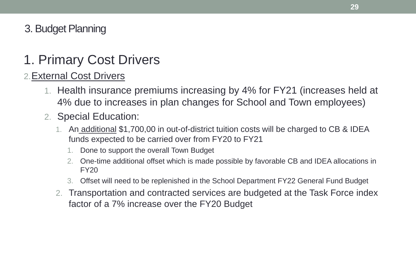# 1. Primary Cost Drivers

### 2.External Cost Drivers

- 1. Health insurance premiums increasing by 4% for FY21 (increases held at 4% due to increases in plan changes for School and Town employees)
- 2. Special Education:
	- 1. An additional \$1,700,00 in out-of-district tuition costs will be charged to CB & IDEA funds expected to be carried over from FY20 to FY21
		- 1. Done to support the overall Town Budget
		- 2. One-time additional offset which is made possible by favorable CB and IDEA allocations in FY20
		- 3. Offset will need to be replenished in the School Department FY22 General Fund Budget
	- 2. Transportation and contracted services are budgeted at the Task Force index factor of a 7% increase over the FY20 Budget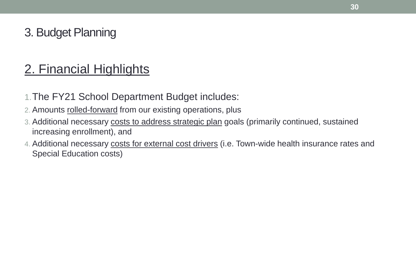# 2. Financial Highlights

- 1.The FY21 School Department Budget includes:
- 2. Amounts rolled-forward from our existing operations, plus
- 3. Additional necessary costs to address strategic plan goals (primarily continued, sustained increasing enrollment), and
- 4. Additional necessary costs for external cost drivers (i.e. Town-wide health insurance rates and Special Education costs)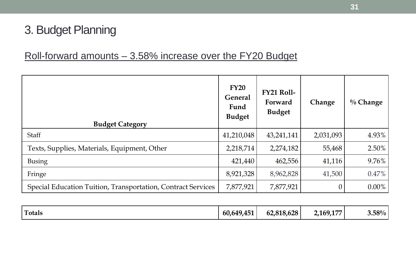### Roll-forward amounts – 3.58% increase over the FY20 Budget

| <b>Budget Category</b>                                       | FY20<br><b>General</b><br>Fund<br><b>Budget</b> | <b>FY21 Roll-</b><br>Forward<br><b>Budget</b> | Change    | $\%$ Change |
|--------------------------------------------------------------|-------------------------------------------------|-----------------------------------------------|-----------|-------------|
| <b>Staff</b>                                                 | 41,210,048                                      | 43,241,141                                    | 2,031,093 | 4.93%       |
| Texts, Supplies, Materials, Equipment, Other                 | 2,218,714                                       | 2,274,182                                     | 55,468    | 2.50%       |
| <b>Busing</b>                                                | 421,440                                         | 462,556                                       | 41,116    | 9.76%       |
| Fringe                                                       | 8,921,328                                       | 8,962,828                                     | 41,500    | 0.47%       |
| Special Education Tuition, Transportation, Contract Services | 7,877,921                                       | 7,877,921                                     |           | $0.00\%$    |

| <b>Totals</b> | 60,649,451 | 62,818,628 | 2,169,177 | $3.58\%$ |
|---------------|------------|------------|-----------|----------|
|               |            |            |           |          |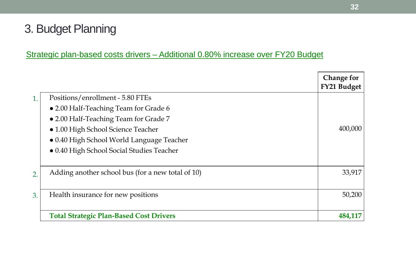### Strategic plan-based costs drivers – Additional 0.80% increase over FY20 Budget

|    |                                                   | <b>Change for</b><br><b>FY21 Budget</b> |
|----|---------------------------------------------------|-----------------------------------------|
| 1. | Positions/enrollment - 5.80 FTEs                  |                                         |
|    | • 2.00 Half-Teaching Team for Grade 6             |                                         |
|    | • 2.00 Half-Teaching Team for Grade 7             |                                         |
|    | · 1.00 High School Science Teacher                | 400,000                                 |
|    | • 0.40 High School World Language Teacher         |                                         |
|    | • 0.40 High School Social Studies Teacher         |                                         |
| 2. | Adding another school bus (for a new total of 10) | 33,917                                  |
| 3. | Health insurance for new positions                | 50,200                                  |
|    | <b>Total Strategic Plan-Based Cost Drivers</b>    | 484,117                                 |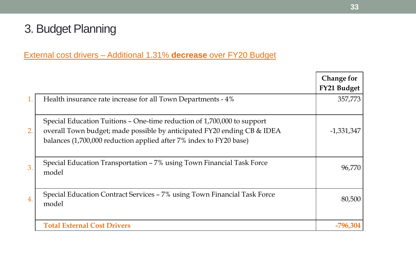### External cost drivers – Additional 1.31% **decrease** over FY20 Budget

|    |                                                                                                                                                                                                                          | <b>Change for</b><br>FY21 Budget |
|----|--------------------------------------------------------------------------------------------------------------------------------------------------------------------------------------------------------------------------|----------------------------------|
| 1. | Health insurance rate increase for all Town Departments - 4%                                                                                                                                                             | 357,773                          |
| 2. | Special Education Tuitions – One-time reduction of 1,700,000 to support<br>overall Town budget; made possible by anticipated FY20 ending CB & IDEA<br>balances (1,700,000 reduction applied after 7% index to FY20 base) | -1,331,347                       |
| 3. | Special Education Transportation – 7% using Town Financial Task Force<br>model                                                                                                                                           | 96,770                           |
| 4. | Special Education Contract Services – 7% using Town Financial Task Force<br>model                                                                                                                                        | 80,500                           |
|    | <b>Total External Cost Drivers</b>                                                                                                                                                                                       | -796,304                         |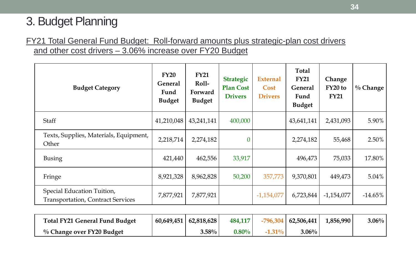### FY21 Total General Fund Budget: Roll-forward amounts plus strategic-plan cost drivers and other cost drivers – 3.06% increase over FY20 Budget

| <b>Budget Category</b>                                                 | FY20<br><b>General</b><br>Fund<br><b>Budget</b> | <b>FY21</b><br>Roll-<br>Forward<br><b>Budget</b> | <b>Strategic</b><br><b>Plan Cost</b><br><b>Drivers</b> | <b>External</b><br>Cost<br><b>Drivers</b> | <b>Total</b><br><b>FY21</b><br><b>General</b><br>Fund<br><b>Budget</b> | Change<br>FY20 to<br><b>FY21</b> | $\%$ Change |
|------------------------------------------------------------------------|-------------------------------------------------|--------------------------------------------------|--------------------------------------------------------|-------------------------------------------|------------------------------------------------------------------------|----------------------------------|-------------|
| <b>Staff</b>                                                           | 41,210,048                                      | 43,241,141                                       | 400,000                                                |                                           | 43,641,141                                                             | 2,431,093                        | 5.90%       |
| Texts, Supplies, Materials, Equipment,<br>Other                        | 2,218,714                                       | 2,274,182                                        | $\overline{0}$                                         |                                           | 2,274,182                                                              | 55,468                           | 2.50%       |
| <b>Busing</b>                                                          | 421,440                                         | 462,556                                          | 33,917                                                 |                                           | 496,473                                                                | 75,033                           | 17.80%      |
| Fringe                                                                 | 8,921,328                                       | 8,962,828                                        | 50,200                                                 | 357,773                                   | 9,370,801                                                              | 449,473                          | $5.04\%$    |
| Special Education Tuition,<br><b>Transportation, Contract Services</b> | 7,877,921                                       | 7,877,921                                        |                                                        | $-1,154,077$                              | 6,723,844                                                              | $-1,154,077$                     | $-14.65\%$  |

| <b>Total FY21 General Fund Budget</b> | $60,649,451$   62,818,628 | 484,117  |           | $-796,304$   62,506,441 | 1,856,990 | $3.06\%$ |
|---------------------------------------|---------------------------|----------|-----------|-------------------------|-----------|----------|
| $\%$ Change over FY20 Budget          | $3.58\%$ $ $              | $0.80\%$ | $-1.31\%$ | $3.06\%$                |           |          |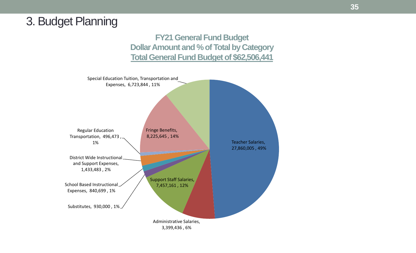**FY21 General Fund Budget Dollar Amount and % of Total by Category Total General Fund Budget of \$62,506,441**

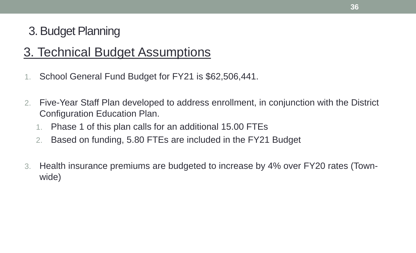# 3. Technical Budget Assumptions

- 1. School General Fund Budget for FY21 is \$62,506,441.
- 2. Five-Year Staff Plan developed to address enrollment, in conjunction with the District Configuration Education Plan.
	- 1. Phase 1 of this plan calls for an additional 15.00 FTEs
	- 2. Based on funding, 5.80 FTEs are included in the FY21 Budget
- 3. Health insurance premiums are budgeted to increase by 4% over FY20 rates (Townwide)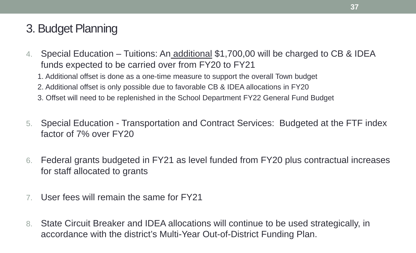- 4. Special Education Tuitions: An additional \$1,700,00 will be charged to CB & IDEA funds expected to be carried over from FY20 to FY21
	- 1. Additional offset is done as a one-time measure to support the overall Town budget
	- 2. Additional offset is only possible due to favorable CB & IDEA allocations in FY20
	- 3. Offset will need to be replenished in the School Department FY22 General Fund Budget
- 5. Special Education Transportation and Contract Services: Budgeted at the FTF index factor of 7% over FY20
- 6. Federal grants budgeted in FY21 as level funded from FY20 plus contractual increases for staff allocated to grants
- 7. User fees will remain the same for FY21
- 8. State Circuit Breaker and IDEA allocations will continue to be used strategically, in accordance with the district's Multi-Year Out-of-District Funding Plan.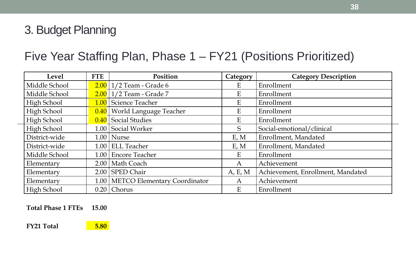# Five Year Staffing Plan, Phase 1 – FY21 (Positions Prioritized)

| <b>Level</b>       | <b>FTE</b>        | Position                            | Category                  | <b>Category Description</b>       |
|--------------------|-------------------|-------------------------------------|---------------------------|-----------------------------------|
| Middle School      |                   | $2.00$   $1/2$ Team - Grade 6       | Ε                         | Enrollment                        |
| Middle School      |                   | $2.00$   $1/2$ Team - Grade 7       | E                         | Enrollment                        |
| <b>High School</b> |                   | 1.00 Science Teacher                | $\boldsymbol{\mathrm{E}}$ | Enrollment                        |
| <b>High School</b> |                   | 0.40   World Language Teacher       | E                         | Enrollment                        |
| <b>High School</b> |                   | $\vert 0.40 \vert$ Social Studies   | E                         | Enrollment                        |
| <b>High School</b> |                   | 1.00 Social Worker                  | S                         | Social-emotional/clinical         |
| District-wide      |                   | $1.00$   Nurse                      | E, M                      | Enrollment, Mandated              |
| District-wide      |                   | $1.00$ ELL Teacher                  | E, M                      | Enrollment, Mandated              |
| Middle School      | 1.00 <sub>l</sub> | <b>Encore Teacher</b>               | E                         | Enrollment                        |
| Elementary         |                   | 2.00   Math Coach                   | A                         | Achievement                       |
| Elementary         |                   | $2.00$ SPED Chair                   | A, E, M                   | Achievement, Enrollment, Mandated |
| Elementary         |                   | 1.00   METCO Elementary Coordinator | A                         | Achievement                       |
| High School        |                   | $0.20$   Chorus                     | $\mathbf{E}$              | Enrollment                        |

#### **Total Phase 1 FTEs 15.00**

**FY21 Total 5.80** 

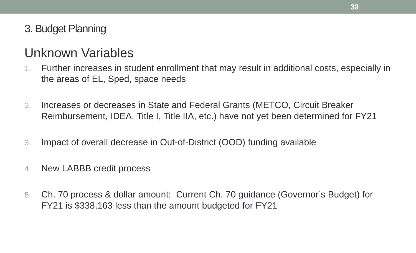# Unknown Variables

- 1. Further increases in student enrollment that may result in additional costs, especially in the areas of EL, Sped, space needs
- 2. Increases or decreases in State and Federal Grants (METCO, Circuit Breaker Reimbursement, IDEA, Title I, Title IIA, etc.) have not yet been determined for FY21
- 3. Impact of overall decrease in Out-of-District (OOD) funding available
- 4. New LABBB credit process
- 5. Ch. 70 process & dollar amount: Current Ch. 70 guidance (Governor's Budget) for FY21 is \$338,163 less than the amount budgeted for FY21